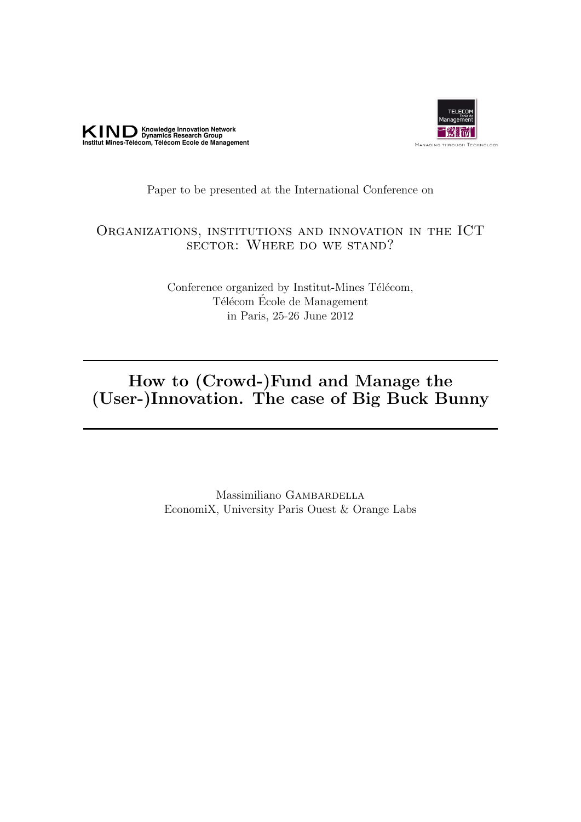



## Paper to be presented at the International Conference on

## Organizations, institutions and innovation in the ICT sector: Where do we stand?

Conference organized by Institut-Mines Télécom, Télécom École de Management in Paris, 25-26 June 2012

## How to (Crowd-)Fund and Manage the (User-)Innovation. The case of Big Buck Bunny

Massimiliano GAMBARDELLA EconomiX, University Paris Ouest & Orange Labs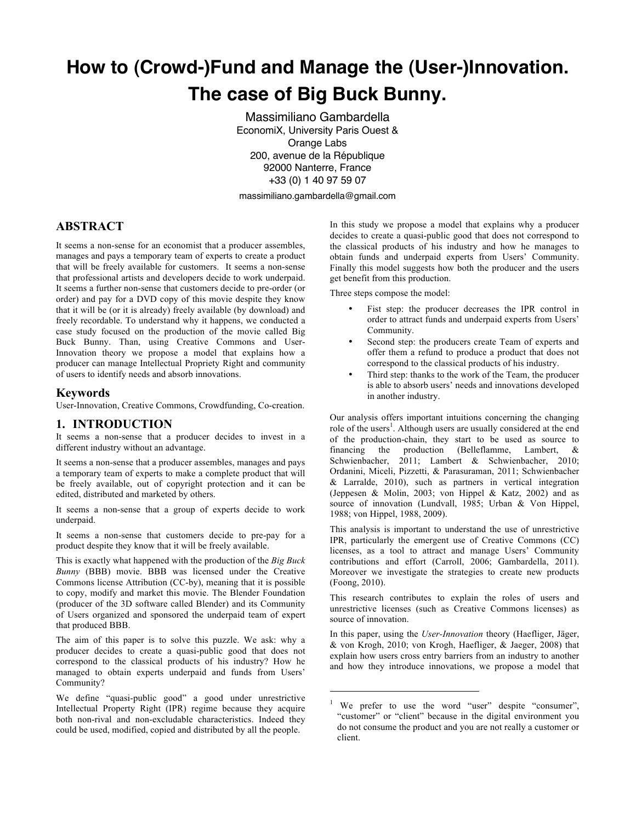# **How to (Crowd-)Fund and Manage the (User-)Innovation. The case of Big Buck Bunny.**

Massimiliano Gambardella EconomiX, University Paris Ouest & Orange Labs 200, avenue de la République 92000 Nanterre, France +33 (0) 1 40 97 59 07

massimiliano.gambardella@gmail.com

 $\overline{a}$ 

#### **ABSTRACT**

It seems a non-sense for an economist that a producer assembles, manages and pays a temporary team of experts to create a product that will be freely available for customers. It seems a non-sense that professional artists and developers decide to work underpaid. It seems a further non-sense that customers decide to pre-order (or order) and pay for a DVD copy of this movie despite they know that it will be (or it is already) freely available (by download) and freely recordable. To understand why it happens, we conducted a case study focused on the production of the movie called Big Buck Bunny. Than, using Creative Commons and User-Innovation theory we propose a model that explains how a producer can manage Intellectual Propriety Right and community of users to identify needs and absorb innovations.

#### **Keywords**

User-Innovation, Creative Commons, Crowdfunding, Co-creation.

#### **1. INTRODUCTION**

It seems a non-sense that a producer decides to invest in a different industry without an advantage.

It seems a non-sense that a producer assembles, manages and pays a temporary team of experts to make a complete product that will be freely available, out of copyright protection and it can be edited, distributed and marketed by others.

It seems a non-sense that a group of experts decide to work underpaid.

It seems a non-sense that customers decide to pre-pay for a product despite they know that it will be freely available.

This is exactly what happened with the production of the *Big Buck Bunny* (BBB) movie. BBB was licensed under the Creative Commons license Attribution (CC-by), meaning that it is possible to copy, modify and market this movie. The Blender Foundation (producer of the 3D software called Blender) and its Community of Users organized and sponsored the underpaid team of expert that produced BBB.

The aim of this paper is to solve this puzzle. We ask: why a producer decides to create a quasi-public good that does not correspond to the classical products of his industry? How he managed to obtain experts underpaid and funds from Users' Community?

We define "quasi-public good" a good under unrestrictive Intellectual Property Right (IPR) regime because they acquire both non-rival and non-excludable characteristics. Indeed they could be used, modified, copied and distributed by all the people.

In this study we propose a model that explains why a producer decides to create a quasi-public good that does not correspond to the classical products of his industry and how he manages to obtain funds and underpaid experts from Users' Community. Finally this model suggests how both the producer and the users get benefit from this production.

Three steps compose the model:

- Fist step: the producer decreases the IPR control in order to attract funds and underpaid experts from Users' Community.
- Second step: the producers create Team of experts and offer them a refund to produce a product that does not correspond to the classical products of his industry.
- Third step: thanks to the work of the Team, the producer is able to absorb users' needs and innovations developed in another industry.

Our analysis offers important intuitions concerning the changing role of the users<sup>1</sup>. Although users are usually considered at the end of the production-chain, they start to be used as source to financing the production (Belleflamme, Lambert, & Schwienbacher, 2011; Lambert & Schwienbacher, 2010; Ordanini, Miceli, Pizzetti, & Parasuraman, 2011; Schwienbacher & Larralde, 2010), such as partners in vertical integration (Jeppesen & Molin, 2003; von Hippel & Katz, 2002) and as source of innovation (Lundvall, 1985; Urban & Von Hippel, 1988; von Hippel, 1988, 2009).

This analysis is important to understand the use of unrestrictive IPR, particularly the emergent use of Creative Commons (CC) licenses, as a tool to attract and manage Users' Community contributions and effort (Carroll, 2006; Gambardella, 2011). Moreover we investigate the strategies to create new products (Foong, 2010).

This research contributes to explain the roles of users and unrestrictive licenses (such as Creative Commons licenses) as source of innovation.

In this paper, using the *User-Innovation* theory (Haefliger, Jäger, & von Krogh, 2010; von Krogh, Haefliger, & Jaeger, 2008) that explain how users cross entry barriers from an industry to another and how they introduce innovations, we propose a model that

We prefer to use the word "user" despite "consumer", "customer" or "client" because in the digital environment you do not consume the product and you are not really a customer or client.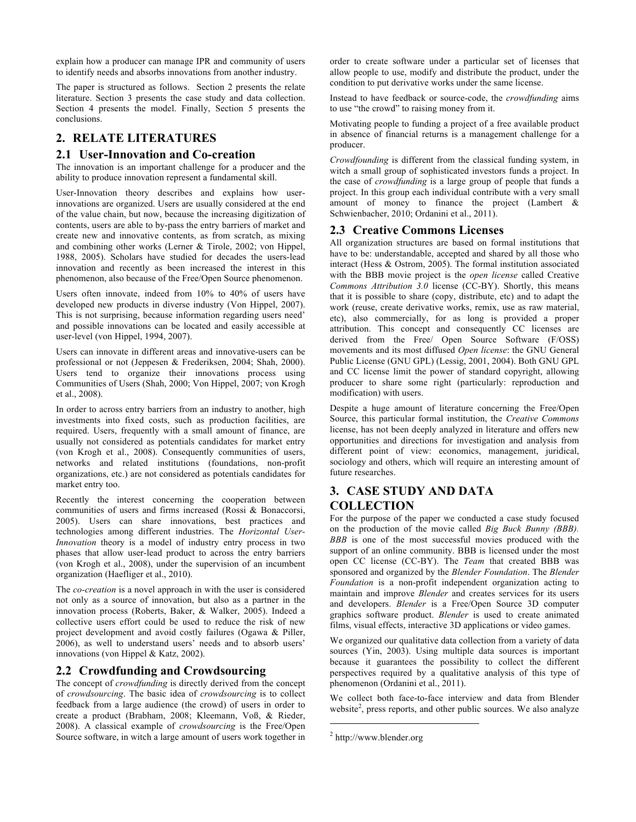explain how a producer can manage IPR and community of users to identify needs and absorbs innovations from another industry.

The paper is structured as follows. Section 2 presents the relate literature. Section 3 presents the case study and data collection. Section 4 presents the model. Finally, Section 5 presents the conclusions.

#### **2. RELATE LITERATURES**

#### **2.1 User-Innovation and Co-creation**

The innovation is an important challenge for a producer and the ability to produce innovation represent a fundamental skill.

User-Innovation theory describes and explains how userinnovations are organized. Users are usually considered at the end of the value chain, but now, because the increasing digitization of contents, users are able to by-pass the entry barriers of market and create new and innovative contents, as from scratch, as mixing and combining other works (Lerner & Tirole, 2002; von Hippel, 1988, 2005). Scholars have studied for decades the users-lead innovation and recently as been increased the interest in this phenomenon, also because of the Free/Open Source phenomenon.

Users often innovate, indeed from 10% to 40% of users have developed new products in diverse industry (Von Hippel, 2007). This is not surprising, because information regarding users need' and possible innovations can be located and easily accessible at user-level (von Hippel, 1994, 2007).

Users can innovate in different areas and innovative-users can be professional or not (Jeppesen & Frederiksen, 2004; Shah, 2000). Users tend to organize their innovations process using Communities of Users (Shah, 2000; Von Hippel, 2007; von Krogh et al., 2008).

In order to across entry barriers from an industry to another, high investments into fixed costs, such as production facilities, are required. Users, frequently with a small amount of finance, are usually not considered as potentials candidates for market entry (von Krogh et al., 2008). Consequently communities of users, networks and related institutions (foundations, non-profit organizations, etc.) are not considered as potentials candidates for market entry too.

Recently the interest concerning the cooperation between communities of users and firms increased (Rossi & Bonaccorsi, 2005). Users can share innovations, best practices and technologies among different industries. The *Horizontal User-Innovation* theory is a model of industry entry process in two phases that allow user-lead product to across the entry barriers (von Krogh et al., 2008), under the supervision of an incumbent organization (Haefliger et al., 2010).

The *co-creation* is a novel approach in with the user is considered not only as a source of innovation, but also as a partner in the innovation process (Roberts, Baker, & Walker, 2005). Indeed a collective users effort could be used to reduce the risk of new project development and avoid costly failures (Ogawa & Piller, 2006), as well to understand users' needs and to absorb users' innovations (von Hippel & Katz, 2002).

#### **2.2 Crowdfunding and Crowdsourcing**

The concept of *crowdfunding* is directly derived from the concept of *crowdsourcing*. The basic idea of *crowdsourcing* is to collect feedback from a large audience (the crowd) of users in order to create a product (Brabham, 2008; Kleemann, Voß, & Rieder, 2008). A classical example of *crowdsourcing* is the Free/Open Source software, in witch a large amount of users work together in

order to create software under a particular set of licenses that allow people to use, modify and distribute the product, under the condition to put derivative works under the same license.

Instead to have feedback or source-code, the *crowdfunding* aims to use "the crowd" to raising money from it.

Motivating people to funding a project of a free available product in absence of financial returns is a management challenge for a producer.

*Crowdfounding* is different from the classical funding system, in witch a small group of sophisticated investors funds a project. In the case of *crowdfunding* is a large group of people that funds a project. In this group each individual contribute with a very small amount of money to finance the project (Lambert & Schwienbacher, 2010; Ordanini et al., 2011).

#### **2.3 Creative Commons Licenses**

All organization structures are based on formal institutions that have to be: understandable, accepted and shared by all those who interact (Hess & Ostrom, 2005). The formal institution associated with the BBB movie project is the *open license* called Creative *Commons Attribution 3.0* license (CC-BY). Shortly, this means that it is possible to share (copy, distribute, etc) and to adapt the work (reuse, create derivative works, remix, use as raw material, etc), also commercially, for as long is provided a proper attribution. This concept and consequently CC licenses are derived from the Free/ Open Source Software (F/OSS) movements and its most diffused *Open license*: the GNU General Public License (GNU GPL) (Lessig, 2001, 2004). Both GNU GPL and CC license limit the power of standard copyright, allowing producer to share some right (particularly: reproduction and modification) with users.

Despite a huge amount of literature concerning the Free/Open Source, this particular formal institution, the *Creative Commons* license, has not been deeply analyzed in literature and offers new opportunities and directions for investigation and analysis from different point of view: economics, management, juridical, sociology and others, which will require an interesting amount of future researches.

### **3. CASE STUDY AND DATA COLLECTION**

For the purpose of the paper we conducted a case study focused on the production of the movie called *Big Buck Bunny (BBB). BBB* is one of the most successful movies produced with the support of an online community. BBB is licensed under the most open CC license (CC-BY). The *Team* that created BBB was sponsored and organized by the *Blender Foundation*. The *Blender Foundation* is a non-profit independent organization acting to maintain and improve *Blender* and creates services for its users and developers. *Blender* is a Free/Open Source 3D computer graphics software product. *Blender* is used to create animated films, visual effects, interactive 3D applications or video games.

We organized our qualitative data collection from a variety of data sources (Yin, 2003). Using multiple data sources is important because it guarantees the possibility to collect the different perspectives required by a qualitative analysis of this type of phenomenon (Ordanini et al., 2011).

We collect both face-to-face interview and data from Blender website<sup>2</sup>, press reports, and other public sources. We also analyze

j

<sup>2</sup> http://www.blender.org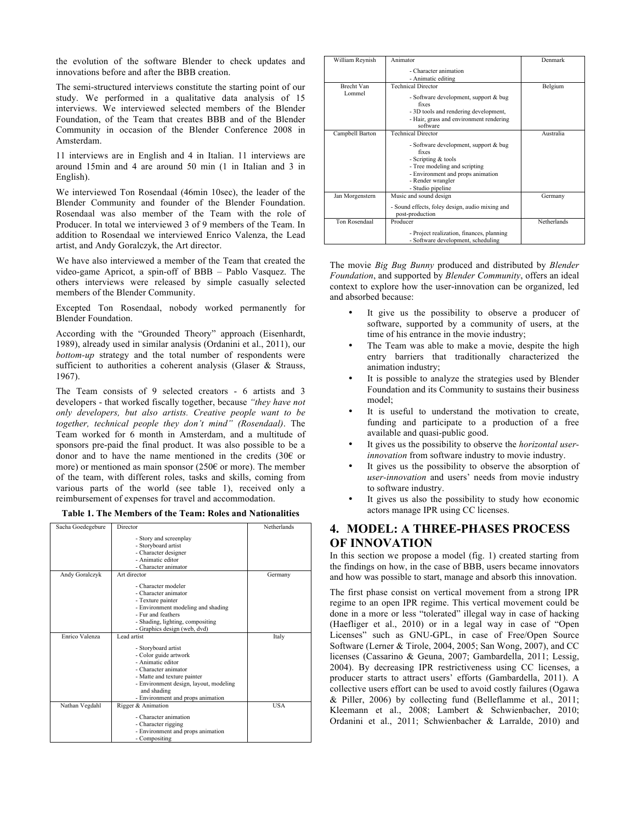the evolution of the software Blender to check updates and innovations before and after the BBB creation.

The semi-structured interviews constitute the starting point of our study. We performed in a qualitative data analysis of 15 interviews. We interviewed selected members of the Blender Foundation, of the Team that creates BBB and of the Blender Community in occasion of the Blender Conference 2008 in Amsterdam.

11 interviews are in English and 4 in Italian. 11 interviews are around 15min and 4 are around 50 min (1 in Italian and 3 in English).

We interviewed Ton Rosendaal (46min 10sec), the leader of the Blender Community and founder of the Blender Foundation. Rosendaal was also member of the Team with the role of Producer. In total we interviewed 3 of 9 members of the Team. In addition to Rosendaal we interviewed Enrico Valenza, the Lead artist, and Andy Goralczyk, the Art director.

We have also interviewed a member of the Team that created the video-game Apricot, a spin-off of BBB – Pablo Vasquez. The others interviews were released by simple casually selected members of the Blender Community.

Excepted Ton Rosendaal, nobody worked permanently for Blender Foundation.

According with the "Grounded Theory" approach (Eisenhardt, 1989), already used in similar analysis (Ordanini et al., 2011), our *bottom-up* strategy and the total number of respondents were sufficient to authorities a coherent analysis (Glaser & Strauss, 1967).

The Team consists of 9 selected creators - 6 artists and 3 developers - that worked fiscally together, because *"they have not only developers, but also artists. Creative people want to be together, technical people they don't mind" (Rosendaal)*. The Team worked for 6 month in Amsterdam, and a multitude of sponsors pre-paid the final product. It was also possible to be a donor and to have the name mentioned in the credits (30€ or more) or mentioned as main sponsor ( $250\epsilon$  or more). The member of the team, with different roles, tasks and skills, coming from various parts of the world (see table 1), received only a reimbursement of expenses for travel and accommodation.

| Table 1. The Members of the Team: Roles and Nationalities |  |  |
|-----------------------------------------------------------|--|--|
|-----------------------------------------------------------|--|--|

| Sacha Goedegebure | Director                               | Netherlands |
|-------------------|----------------------------------------|-------------|
|                   |                                        |             |
|                   | - Story and screenplay                 |             |
|                   | - Storyboard artist                    |             |
|                   | - Character designer                   |             |
|                   | - Animatic editor                      |             |
|                   | - Character animator                   |             |
| Andy Goralczyk    | Art director                           | Germany     |
|                   | - Character modeler                    |             |
|                   | - Character animator                   |             |
|                   | - Texture painter                      |             |
|                   | - Environment modeling and shading     |             |
|                   | - Fur and feathers                     |             |
|                   | - Shading, lighting, compositing       |             |
|                   | - Graphics design (web, dvd)           |             |
| Enrico Valenza    | Lead artist                            | Italy       |
|                   | - Storyboard artist                    |             |
|                   | - Color guide artwork                  |             |
|                   | - Animatic editor                      |             |
|                   | - Character animator                   |             |
|                   | - Matte and texture painter            |             |
|                   | - Environment design, layout, modeling |             |
|                   | and shading                            |             |
|                   | - Environment and props animation      |             |
| Nathan Vegdahl    | Rigger & Animation                     | USA         |
|                   | - Character animation                  |             |
|                   | - Character rigging                    |             |
|                   | - Environment and props animation      |             |
|                   | - Compositing                          |             |

| William Reynish | Animator                                                                        | Denmark     |
|-----------------|---------------------------------------------------------------------------------|-------------|
|                 | - Character animation                                                           |             |
|                 | - Animatic editing                                                              |             |
| Brecht Van      | <b>Technical Director</b>                                                       | Belgium     |
| Lommel          | - Software development, support & bug<br>fixes                                  |             |
|                 | - 3D tools and rendering development,                                           |             |
|                 | - Hair, grass and environment rendering                                         |             |
|                 | software                                                                        |             |
| Campbell Barton | <b>Technical Director</b>                                                       | Australia   |
|                 | - Software development, support & bug<br>fixes                                  |             |
|                 | - Scripting & tools                                                             |             |
|                 | - Tree modeling and scripting                                                   |             |
|                 | - Environment and props animation                                               |             |
|                 | - Render wrangler                                                               |             |
|                 | - Studio pipeline                                                               |             |
| Jan Morgenstern | Music and sound design                                                          | Germany     |
|                 | - Sound effects, foley design, audio mixing and                                 |             |
|                 | post-production                                                                 |             |
| Ton Rosendaal   | Producer                                                                        | Netherlands |
|                 | - Project realization, finances, planning<br>- Software development, scheduling |             |

The movie *Big Bug Bunny* produced and distributed by *Blender Foundation*, and supported by *Blender Community*, offers an ideal context to explore how the user-innovation can be organized, led and absorbed because:

- It give us the possibility to observe a producer of software, supported by a community of users, at the time of his entrance in the movie industry;
- The Team was able to make a movie, despite the high entry barriers that traditionally characterized the animation industry;
- It is possible to analyze the strategies used by Blender Foundation and its Community to sustains their business model;
- It is useful to understand the motivation to create, funding and participate to a production of a free available and quasi-public good.
- It gives us the possibility to observe the *horizontal userinnovation* from software industry to movie industry.
- It gives us the possibility to observe the absorption of *user-innovation* and users' needs from movie industry to software industry.
- It gives us also the possibility to study how economic actors manage IPR using CC licenses.

#### **4. MODEL: A THREE-PHASES PROCESS OF INNOVATION**

In this section we propose a model (fig. 1) created starting from the findings on how, in the case of BBB, users became innovators and how was possible to start, manage and absorb this innovation.

The first phase consist on vertical movement from a strong IPR regime to an open IPR regime. This vertical movement could be done in a more or less "tolerated" illegal way in case of hacking (Haefliger et al., 2010) or in a legal way in case of "Open Licenses" such as GNU-GPL, in case of Free/Open Source Software (Lerner & Tirole, 2004, 2005; San Wong, 2007), and CC licenses (Cassarino & Geuna, 2007; Gambardella, 2011; Lessig, 2004). By decreasing IPR restrictiveness using CC licenses, a producer starts to attract users' efforts (Gambardella, 2011). A collective users effort can be used to avoid costly failures (Ogawa & Piller, 2006) by collecting fund (Belleflamme et al., 2011; Kleemann et al., 2008; Lambert & Schwienbacher, 2010; Ordanini et al., 2011; Schwienbacher & Larralde, 2010) and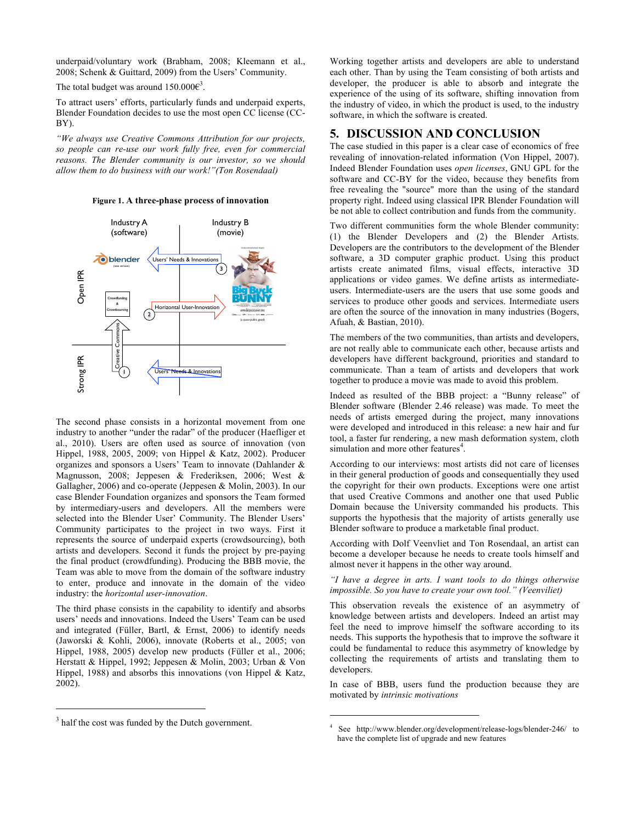underpaid/voluntary work (Brabham, 2008; Kleemann et al., 2008; Schenk & Guittard, 2009) from the Users' Community.

The total budget was around  $150.000 \epsilon^3$ .

To attract users' efforts, particularly funds and underpaid experts, Blender Foundation decides to use the most open CC license (CC-BY).

*"We always use Creative Commons Attribution for our projects, so people can re-use our work fully free, even for commercial reasons. The Blender community is our investor, so we should allow them to do business with our work!"(Ton Rosendaal)*

**Figure 1. A three-phase process of innovation**



The second phase consists in a horizontal movement from one industry to another "under the radar" of the producer (Haefliger et al., 2010). Users are often used as source of innovation (von Hippel, 1988, 2005, 2009; von Hippel & Katz, 2002). Producer organizes and sponsors a Users' Team to innovate (Dahlander & Magnusson, 2008; Jeppesen & Frederiksen, 2006; West & Gallagher, 2006) and co-operate (Jeppesen & Molin, 2003). In our case Blender Foundation organizes and sponsors the Team formed by intermediary-users and developers. All the members were selected into the Blender User' Community. The Blender Users' Community participates to the project in two ways. First it represents the source of underpaid experts (crowdsourcing), both artists and developers. Second it funds the project by pre-paying the final product (crowdfunding). Producing the BBB movie, the Team was able to move from the domain of the software industry to enter, produce and innovate in the domain of the video industry: the *horizontal user-innovation*.

The third phase consists in the capability to identify and absorbs users' needs and innovations. Indeed the Users' Team can be used and integrated (Füller, Bartl, & Ernst, 2006) to identify needs (Jaworski & Kohli, 2006), innovate (Roberts et al., 2005; von Hippel, 1988, 2005) develop new products (Füller et al., 2006; Herstatt & Hippel, 1992; Jeppesen & Molin, 2003; Urban & Von Hippel, 1988) and absorbs this innovations (von Hippel & Katz, 2002).

 $\overline{a}$ 

Working together artists and developers are able to understand each other. Than by using the Team consisting of both artists and developer, the producer is able to absorb and integrate the experience of the using of its software, shifting innovation from the industry of video, in which the product is used, to the industry software, in which the software is created.

#### **5. DISCUSSION AND CONCLUSION**

The case studied in this paper is a clear case of economics of free revealing of innovation-related information (Von Hippel, 2007). Indeed Blender Foundation uses *open licenses*, GNU GPL for the software and CC-BY for the video, because they benefits from free revealing the "source" more than the using of the standard property right. Indeed using classical IPR Blender Foundation will be not able to collect contribution and funds from the community.

Two different communities form the whole Blender community: (1) the Blender Developers and (2) the Blender Artists. Developers are the contributors to the development of the Blender software, a 3D computer graphic product. Using this product artists create animated films, visual effects, interactive 3D applications or video games. We define artists as intermediateusers. Intermediate-users are the users that use some goods and services to produce other goods and services. Intermediate users are often the source of the innovation in many industries (Bogers, Afuah, & Bastian, 2010).

The members of the two communities, than artists and developers, are not really able to communicate each other, because artists and developers have different background, priorities and standard to communicate. Than a team of artists and developers that work together to produce a movie was made to avoid this problem.

Indeed as resulted of the BBB project: a "Bunny release" of Blender software (Blender 2.46 release) was made. To meet the needs of artists emerged during the project, many innovations were developed and introduced in this release: a new hair and fur tool, a faster fur rendering, a new mash deformation system, cloth simulation and more other features<sup>4</sup>.

According to our interviews: most artists did not care of licenses in their general production of goods and consequentially they used the copyright for their own products. Exceptions were one artist that used Creative Commons and another one that used Public Domain because the University commanded his products. This supports the hypothesis that the majority of artists generally use Blender software to produce a marketable final product.

According with Dolf Veenvliet and Ton Rosendaal, an artist can become a developer because he needs to create tools himself and almost never it happens in the other way around.

*"I have a degree in arts. I want tools to do things otherwise impossible. So you have to create your own tool." (Veenviliet)*

This observation reveals the existence of an asymmetry of knowledge between artists and developers. Indeed an artist may feel the need to improve himself the software according to its needs. This supports the hypothesis that to improve the software it could be fundamental to reduce this asymmetry of knowledge by collecting the requirements of artists and translating them to developers.

In case of BBB, users fund the production because they are motivated by *intrinsic motivations*

j

<sup>&</sup>lt;sup>3</sup> half the cost was funded by the Dutch government.

See http://www.blender.org/development/release-logs/blender-246/ to have the complete list of upgrade and new features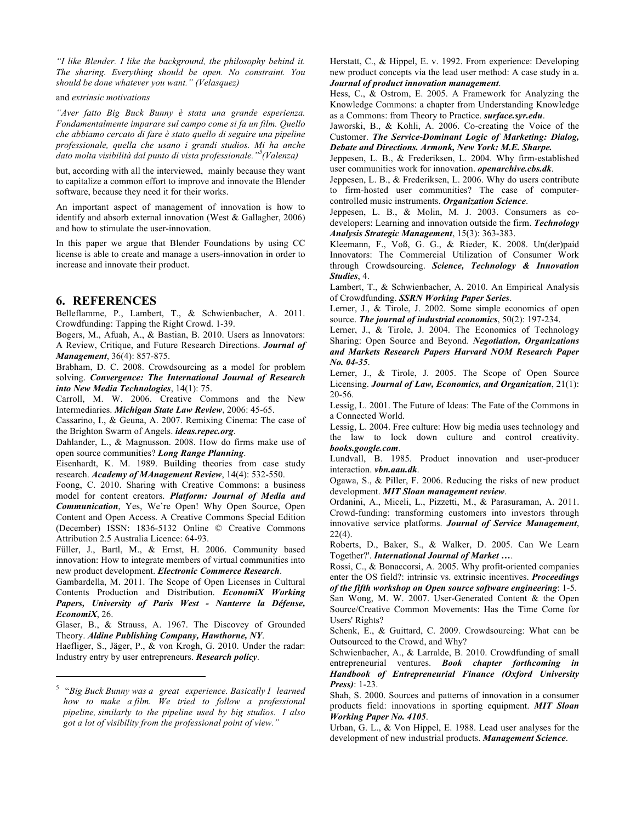*"I like Blender. I like the background, the philosophy behind it. The sharing. Everything should be open. No constraint. You should be done whatever you want." (Velasquez)* 

and *extrinsic motivations*

*"Aver fatto Big Buck Bunny è stata una grande esperienza. Fondamentalmente imparare sul campo come si fa un film. Quello che abbiamo cercato di fare è stato quello di seguire una pipeline professionale, quella che usano i grandi studios. Mi ha anche dato molta visibilità dal punto di vista professionale."<sup>5</sup> (Valenza)*

but, according with all the interviewed, mainly because they want to capitalize a common effort to improve and innovate the Blender software, because they need it for their works.

An important aspect of management of innovation is how to identify and absorb external innovation (West & Gallagher, 2006) and how to stimulate the user-innovation.

In this paper we argue that Blender Foundations by using CC license is able to create and manage a users-innovation in order to increase and innovate their product.

#### **6. REFERENCES**

 $\overline{a}$ 

Belleflamme, P., Lambert, T., & Schwienbacher, A. 2011. Crowdfunding: Tapping the Right Crowd. 1-39.

Bogers, M., Afuah, A., & Bastian, B. 2010. Users as Innovators: A Review, Critique, and Future Research Directions. *Journal of Management*, 36(4): 857-875.

Brabham, D. C. 2008. Crowdsourcing as a model for problem solving. *Convergence: The International Journal of Research into New Media Technologies*, 14(1): 75.

Carroll, M. W. 2006. Creative Commons and the New Intermediaries. *Michigan State Law Review*, 2006: 45-65.

Cassarino, I., & Geuna, A. 2007. Remixing Cinema: The case of the Brighton Swarm of Angels. *ideas.repec.org*.

Dahlander, L., & Magnusson. 2008. How do firms make use of open source communities? *Long Range Planning*.

Eisenhardt, K. M. 1989. Building theories from case study research. *Academy of MAnagement Review*, 14(4): 532-550.

Foong, C. 2010. Sharing with Creative Commons: a business model for content creators. *Platform: Journal of Media and Communication*, Yes, We're Open! Why Open Source, Open Content and Open Access. A Creative Commons Special Edition (December) ISSN: 1836-5132 Online © Creative Commons Attribution 2.5 Australia Licence: 64-93.

Füller, J., Bartl, M., & Ernst, H. 2006. Community based innovation: How to integrate members of virtual communities into new product development. *Electronic Commerce Research*.

Gambardella, M. 2011. The Scope of Open Licenses in Cultural Contents Production and Distribution. *EconomiX Working Papers, University of Paris West - Nanterre la Défense, EconomiX*, 26.

Glaser, B., & Strauss, A. 1967. The Discovey of Grounded Theory. *Aldine Publishing Company, Hawthorne, NY*.

Haefliger, S., Jäger, P., & von Krogh, G. 2010. Under the radar: Industry entry by user entrepreneurs. *Research policy*.

Herstatt, C., & Hippel, E. v. 1992. From experience: Developing new product concepts via the lead user method: A case study in a. *Journal of product innovation management*.

Hess, C., & Ostrom, E. 2005. A Framework for Analyzing the Knowledge Commons: a chapter from Understanding Knowledge as a Commons: from Theory to Practice. *surface.syr.edu*.

Jaworski, B., & Kohli, A. 2006. Co-creating the Voice of the Customer. *The Service-Dominant Logic of Marketing: Dialog, Debate and Directions. Armonk, New York: M.E. Sharpe.*

Jeppesen, L. B., & Frederiksen, L. 2004. Why firm-established user communities work for innovation. *openarchive.cbs.dk*.

Jeppesen, L. B., & Frederiksen, L. 2006. Why do users contribute to firm-hosted user communities? The case of computercontrolled music instruments. *Organization Science*.

Jeppesen, L. B., & Molin, M. J. 2003. Consumers as codevelopers: Learning and innovation outside the firm. *Technology Analysis Strategic Management*, 15(3): 363-383.

Kleemann, F., Voß, G. G., & Rieder, K. 2008. Un(der)paid Innovators: The Commercial Utilization of Consumer Work through Crowdsourcing. *Science, Technology & Innovation Studies*, 4.

Lambert, T., & Schwienbacher, A. 2010. An Empirical Analysis of Crowdfunding. *SSRN Working Paper Series*.

Lerner, J., & Tirole, J. 2002. Some simple economics of open source. *The journal of industrial economics*, 50(2): 197-234.

Lerner, J., & Tirole, J. 2004. The Economics of Technology Sharing: Open Source and Beyond. *Negotiation, Organizations and Markets Research Papers Harvard NOM Research Paper No. 04-35*.

Lerner, J., & Tirole, J., 2005. The Scope of Open Source Licensing. *Journal of Law, Economics, and Organization*, 21(1): 20-56.

Lessig, L. 2001. The Future of Ideas: The Fate of the Commons in a Connected World.

Lessig, L. 2004. Free culture: How big media uses technology and the law to lock down culture and control creativity. *books.google.com*.

Lundvall, B. 1985. Product innovation and user-producer interaction. *vbn.aau.dk*.

Ogawa, S., & Piller, F. 2006. Reducing the risks of new product development. *MIT Sloan management review*.

Ordanini, A., Miceli, L., Pizzetti, M., & Parasuraman, A. 2011. Crowd-funding: transforming customers into investors through innovative service platforms. *Journal of Service Management*,  $22(4)$ .

Roberts, D., Baker, S., & Walker, D. 2005. Can We Learn Together?'. *International Journal of Market …*.

Rossi, C., & Bonaccorsi, A. 2005. Why profit-oriented companies enter the OS field?: intrinsic vs. extrinsic incentives. *Proceedings of the fifth workshop on Open source software engineering*: 1-5.

San Wong, M. W. 2007. User-Generated Content & the Open Source/Creative Common Movements: Has the Time Come for Users' Rights?

Schenk, E., & Guittard, C. 2009. Crowdsourcing: What can be Outsourced to the Crowd, and Why?

Schwienbacher, A., & Larralde, B. 2010. Crowdfunding of small entrepreneurial ventures. *Book chapter forthcoming in Handbook of Entrepreneurial Finance (Oxford University Press)*: 1-23.

Shah, S. 2000. Sources and patterns of innovation in a consumer products field: innovations in sporting equipment. *MIT Sloan Working Paper No. 4105*.

Urban, G. L., & Von Hippel, E. 1988. Lead user analyses for the development of new industrial products. *Management Science*.

<sup>5</sup> "*Big Buck Bunny was a great experience. Basically I learned how to make a film. We tried to follow a professional pipeline, similarly to the pipeline used by big studios. I also got a lot of visibility from the professional point of view."*